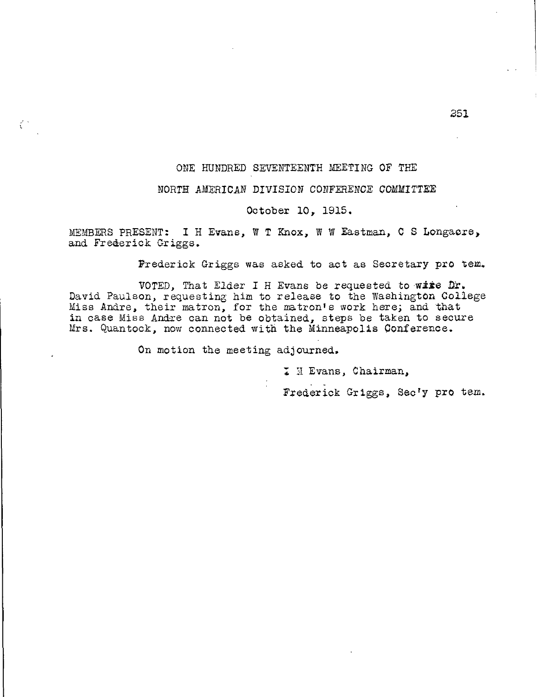# ONE HUNDRED SEVENTEENTH MEETING OF THE

## NORTH AMERICAN DIVISION CONFERENCE COMMITTEE

## October 10, 1915.

MEMBERS PRESENT: I H Evans, W T Knox, W W Eastman, C S Longacre, and Frederick Griggs.

Frederick Griggs was asked to act as Secretary pro tem.

VOTED, That Elder I H Evans be requested to wire Dr. David Paulson, requesting him to release to the Washington College Miss Andre, their matron, for the matron's work here; and that in case Miss Andre can not be obtained, steps be taken to secure Mrs. Quantock, now connected with the Minneapolis Conference.

On motion the meeting adjourned.

ζ÷

I H Evans, Chairman,

Frederick Griggs, Sec'y pro tem.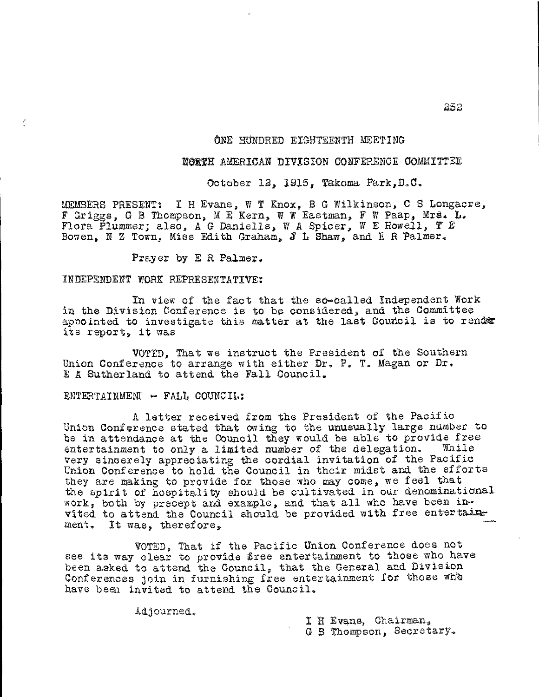# ONE HUNDRED EIGHTEENTH MEETING

# NORTH AMERICAN DIVISION CONFERENCE COMMITTEE

October 12, 1915, Takoma Park,D.C,

MEMBERS PRESENT: I H Evans, W T Knox, B G Wilkinson, C S Longacre, F Griggs, G B Thompson, M E Kern, W W Eastman, F W Paap, Mrs. L. Flora Plummer; also, A G Daniells, W A Spicer, W E Howell, T E Bowen, N Z Town, Miss Edith Graham, J L Shaw, and E R Palmer.

Prayer by E R Palmer.

### INDEPENDENT WORK REPRESENTATIVE:

In view of the fact that the so-called Independent Work in the Division Conference is to be considered, and the Committee appointed to investigate this matter at the last Council is to render its report, it was

VOTED, That we instruct the President of the Southern Union Conference to arrange with either Dr. P. T. Magan or Dr. E A Sutherland to attend the Fall Council.

### $ENTERTAINMENT$   $\rightarrow$   $FALL$  COUNCIL:

A letter received from the President of the Pacific Union Conference stated that owing to the unusually large number to be in attendance at the Council they would be able to provide free entertainment to only a limited number of the delegation. While entertainment to only a limited number of the delegation. very sincerely appreciating the cordial invitation of the Pacific Union Conference to hold the Council in their midst and the efforts they are making to provide for those who may come, we feel that the spirit of hospitality should be cultivated in our denominational work, both by precept and example, and that all who have been inthe spirit of hospitality should be cultivated in our denominational<br>work, both by precept and example, and that all who have been in-<br>vited to attend the Council should be provided with free entertains went. It was, therefore,

VOTED, That if the Pacific Union Conference does not see its way clear to provide free entertainment to those who have been asked to attend the Council, that the General and Division Conferences join in furnishing free entertainment for those who have been invited to attend the Council.

Aajourned,

I H Evans, Chairman. G B Thompson, Secretary.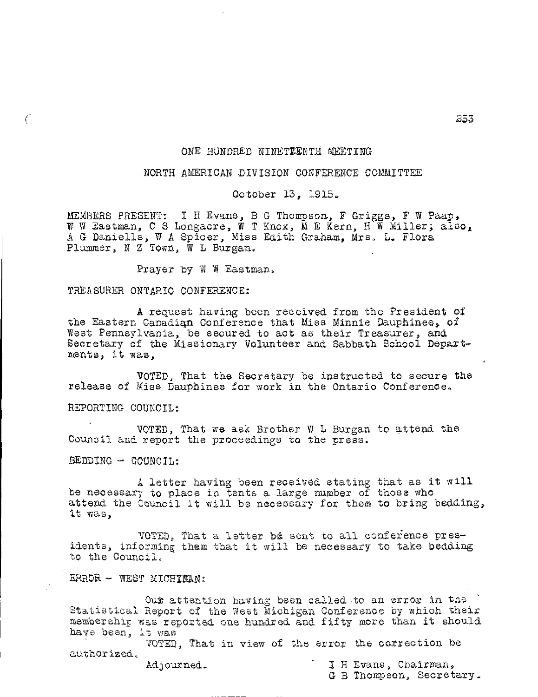# ONE HUNDRED NINETEENTH MEETING

## NORTH AMERICAN DIVISION CONFERENCE COMMITTEE

October 13, 1915.

MEMBERS PRESENT; I H Evans, B G Thompson, F Griggs, F W Paap, W W Eastman, C S Longacre, W T Knox, M E Kern, H W Miller; also, A G Daniells, W A Spicer, Miss Edith Graham, Mrs. L. Flora Plummer, N Z Town, W L Burgan.

Prayer by W W Eastman.

#### TREASURER ONTARIO CONFERENCE:

A request having been received from the President of the Eastern Canadian Conference that Miss Minnie Dauphinee, of West Pennsylvania, be secured to act as their Treasurer, and Secretary of the Missionary Volunteer and Sabbath School Departments, it was,

VOTED, That the Secretary be instructed to secure the release of Miss Dauphinee for work in the Ontario Conference.

REPORTING COUNCIL:

 $\big($ 

VOTED, That we ask Brother W L Burgan to attend the Council and report the proceedings to the press.

BEDDING - COUNCIL:

A letter having been received stating that as it will be necessary to place in tents a large number of those who attend the Council it will be necessary for them to bring bedding, it was,

VOTED, That a letter be sent to all conference presidents, informing them that it will be necessary to take bedding to the Council.

ERROR - WEST MICHIEAN:

Out attention having been called to an error in the Statistical Report of the West Michigan Conference by which their membership was reported one hundred and fifty more than it should have been, it was

VOTED, That in view of the error the correction be authorized.

Adjourned. **I** H Evans, Chairman,

G B Thompson, Secretary.